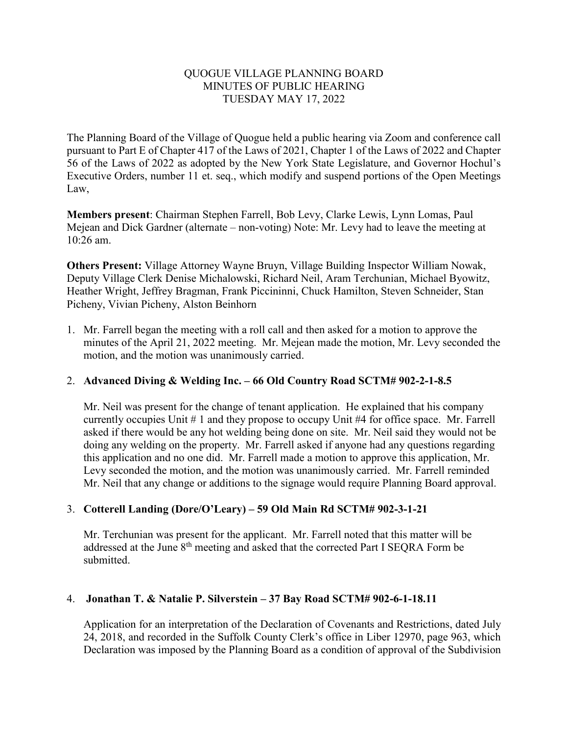#### QUOGUE VILLAGE PLANNING BOARD MINUTES OF PUBLIC HEARING TUESDAY MAY 17, 2022

The Planning Board of the Village of Quogue held a public hearing via Zoom and conference call pursuant to Part E of Chapter 417 of the Laws of 2021, Chapter 1 of the Laws of 2022 and Chapter 56 of the Laws of 2022 as adopted by the New York State Legislature, and Governor Hochul's Executive Orders, number 11 et. seq., which modify and suspend portions of the Open Meetings Law,

**Members present**: Chairman Stephen Farrell, Bob Levy, Clarke Lewis, Lynn Lomas, Paul Mejean and Dick Gardner (alternate – non-voting) Note: Mr. Levy had to leave the meeting at 10:26 am.

**Others Present:** Village Attorney Wayne Bruyn, Village Building Inspector William Nowak, Deputy Village Clerk Denise Michalowski, Richard Neil, Aram Terchunian, Michael Byowitz, Heather Wright, Jeffrey Bragman, Frank Piccininni, Chuck Hamilton, Steven Schneider, Stan Picheny, Vivian Picheny, Alston Beinhorn

1. Mr. Farrell began the meeting with a roll call and then asked for a motion to approve the minutes of the April 21, 2022 meeting. Mr. Mejean made the motion, Mr. Levy seconded the motion, and the motion was unanimously carried.

# 2. **Advanced Diving & Welding Inc. – 66 Old Country Road SCTM# 902-2-1-8.5**

Mr. Neil was present for the change of tenant application. He explained that his company currently occupies Unit # 1 and they propose to occupy Unit #4 for office space. Mr. Farrell asked if there would be any hot welding being done on site. Mr. Neil said they would not be doing any welding on the property. Mr. Farrell asked if anyone had any questions regarding this application and no one did. Mr. Farrell made a motion to approve this application, Mr. Levy seconded the motion, and the motion was unanimously carried. Mr. Farrell reminded Mr. Neil that any change or additions to the signage would require Planning Board approval.

# 3. **Cotterell Landing (Dore/O'Leary) – 59 Old Main Rd SCTM# 902-3-1-21**

Mr. Terchunian was present for the applicant. Mr. Farrell noted that this matter will be addressed at the June 8<sup>th</sup> meeting and asked that the corrected Part I SEQRA Form be submitted.

### 4. **Jonathan T. & Natalie P. Silverstein – 37 Bay Road SCTM# 902-6-1-18.11**

Application for an interpretation of the Declaration of Covenants and Restrictions, dated July 24, 2018, and recorded in the Suffolk County Clerk's office in Liber 12970, page 963, which Declaration was imposed by the Planning Board as a condition of approval of the Subdivision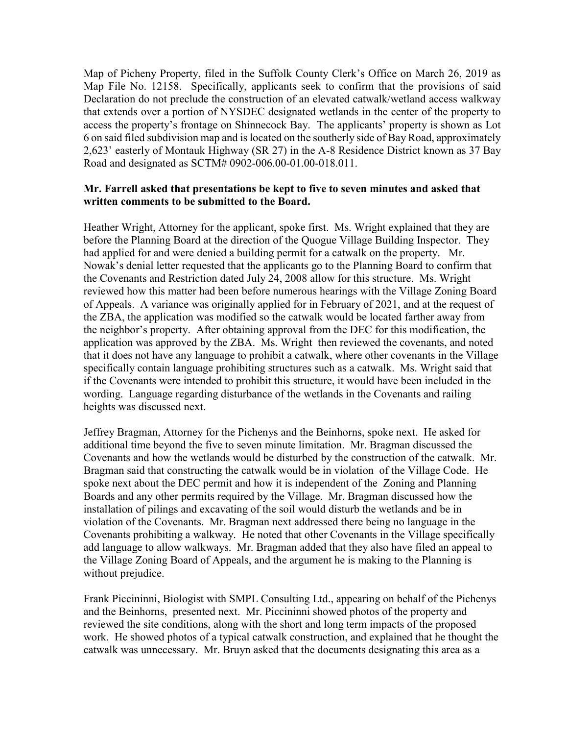Map of Picheny Property, filed in the Suffolk County Clerk's Office on March 26, 2019 as Map File No. 12158. Specifically, applicants seek to confirm that the provisions of said Declaration do not preclude the construction of an elevated catwalk/wetland access walkway that extends over a portion of NYSDEC designated wetlands in the center of the property to access the property's frontage on Shinnecock Bay. The applicants' property is shown as Lot 6 on said filed subdivision map and islocated on the southerly side of Bay Road, approximately 2,623' easterly of Montauk Highway (SR 27) in the A-8 Residence District known as 37 Bay Road and designated as SCTM# 0902-006.00-01.00-018.011.

#### **Mr. Farrell asked that presentations be kept to five to seven minutes and asked that written comments to be submitted to the Board.**

Heather Wright, Attorney for the applicant, spoke first. Ms. Wright explained that they are before the Planning Board at the direction of the Quogue Village Building Inspector. They had applied for and were denied a building permit for a catwalk on the property. Mr. Nowak's denial letter requested that the applicants go to the Planning Board to confirm that the Covenants and Restriction dated July 24, 2008 allow for this structure. Ms. Wright reviewed how this matter had been before numerous hearings with the Village Zoning Board of Appeals. A variance was originally applied for in February of 2021, and at the request of the ZBA, the application was modified so the catwalk would be located farther away from the neighbor's property. After obtaining approval from the DEC for this modification, the application was approved by the ZBA. Ms. Wright then reviewed the covenants, and noted that it does not have any language to prohibit a catwalk, where other covenants in the Village specifically contain language prohibiting structures such as a catwalk. Ms. Wright said that if the Covenants were intended to prohibit this structure, it would have been included in the wording. Language regarding disturbance of the wetlands in the Covenants and railing heights was discussed next.

Jeffrey Bragman, Attorney for the Pichenys and the Beinhorns, spoke next. He asked for additional time beyond the five to seven minute limitation. Mr. Bragman discussed the Covenants and how the wetlands would be disturbed by the construction of the catwalk. Mr. Bragman said that constructing the catwalk would be in violation of the Village Code. He spoke next about the DEC permit and how it is independent of the Zoning and Planning Boards and any other permits required by the Village. Mr. Bragman discussed how the installation of pilings and excavating of the soil would disturb the wetlands and be in violation of the Covenants. Mr. Bragman next addressed there being no language in the Covenants prohibiting a walkway. He noted that other Covenants in the Village specifically add language to allow walkways. Mr. Bragman added that they also have filed an appeal to the Village Zoning Board of Appeals, and the argument he is making to the Planning is without prejudice.

Frank Piccininni, Biologist with SMPL Consulting Ltd., appearing on behalf of the Pichenys and the Beinhorns, presented next. Mr. Piccininni showed photos of the property and reviewed the site conditions, along with the short and long term impacts of the proposed work. He showed photos of a typical catwalk construction, and explained that he thought the catwalk was unnecessary. Mr. Bruyn asked that the documents designating this area as a